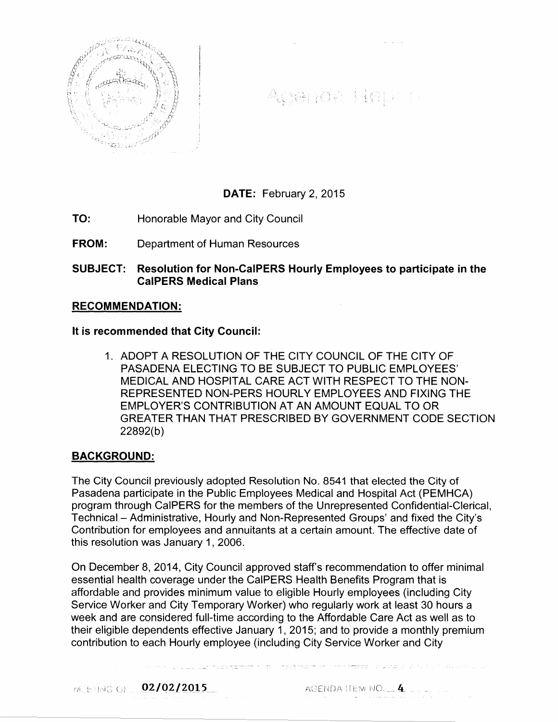

Auenda Report

# DATE: February 2, 2015

- TO: Honorable Mayor and City Council
- FROM: Department of Human Resources

SUBJECT: Resolution for Non-CaiPERS Hourly Employees to participate in the CaiPERS Medical Plans

### RECOMMENDATION:

It is recommended that City Council:

1. ADOPT A RESOLUTION OF THE CITY COUNCIL OF THE CITY OF PASADENA ELECTING TO BE SUBJECT TO PUBLIC EMPLOYEES' MEDICAL AND HOSPITAL CARE ACT WITH RESPECT TO THE NON-REPRESENTED NON-PERS HOURLY EMPLOYEES AND FIXING THE EMPLOYER'S CONTRIBUTION AT AN AMOUNT EQUAL TO OR GREATER THAN THAT PRESCRIBED BY GOVERNMENT CODE SECTION 22892(b)

### BACKGROUND:

The City Council previously adopted Resolution No. 8541 that elected the City of Pasadena participate in the Public Employees Medical and Hospital Act (PEMHCA) program through CaiPERS for the members of the Unrepresented Confidential-Clerical, Technical- Administrative, Hourly and Non-Represented Groups' and fixed the City's Contribution for employees and annuitants at a certain amount. The effective date of this resolution was January 1, 2006.

On December 8, 2014, City Council approved staff's recommendation to offer minimal essential health coverage under the CaiPERS Health Benefits Program that is affordable and provides minimum value to eligible Hourly employees (including City Service Worker and City Temporary Worker) who regularly work at least 30 hours a week and are considered full-time according to the Affordable Care Act as well as to their eligible dependents effective January 1, 2015; and to provide a monthly premium contribution to each Hourly employee (including City Service Worker and City

MEETING OF 02/02/2015

AGENDA ITEM NO.  $\pm 4$   $\pm$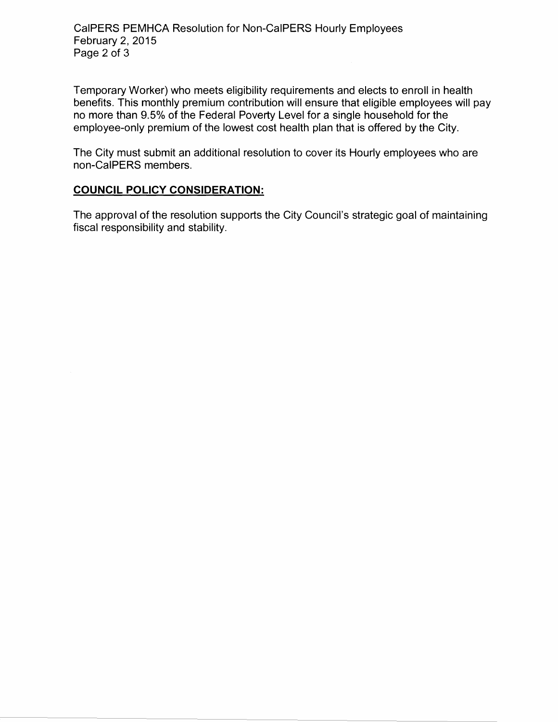Temporary Worker) who meets eligibility requirements and elects to enroll in health benefits. This monthly premium contribution will ensure that eligible employees will pay no more than 9.5% of the Federal Poverty Level for a single household for the employee-only premium of the lowest cost health plan that is offered by the City.

The City must submit an additional resolution to cover its Hourly employees who are non-CaiPERS members.

# **COUNCIL POLICY CONSIDERATION:**

The approval of the resolution supports the City Council's strategic goal of maintaining fiscal responsibility and stability.